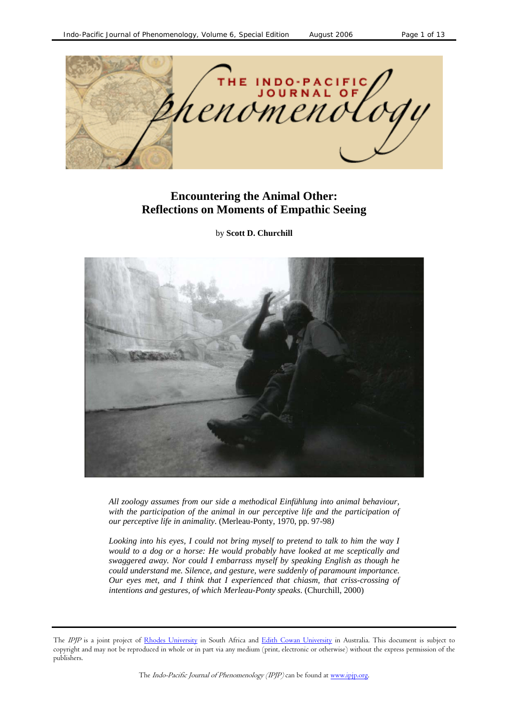

# **Encountering the Animal Other: Reflections on Moments of Empathic Seeing**

by **Scott D. Churchill**



*All zoology assumes from our side a methodical Einfühlung into animal behaviour, with the participation of the animal in our perceptive life and the participation of our perceptive life in animality*. (Merleau-Ponty, 1970, pp. 97-98*)* 

*Looking into his eyes, I could not bring myself to pretend to talk to him the way I would to a dog or a horse: He would probably have looked at me sceptically and swaggered away. Nor could I embarrass myself by speaking English as though he could understand me. Silence, and gesture, were suddenly of paramount importance. Our eyes met, and I think that I experienced that chiasm, that criss-crossing of intentions and gestures, of which Merleau-Ponty speaks*. (Churchill, 2000)

The IPJP is a joint project of Rhodes University in South Africa and Edith Cowan University in Australia. This document is subject to copyright and may not be reproduced in whole or in part via any medium (print, electronic or otherwise) without the express permission of the publishers.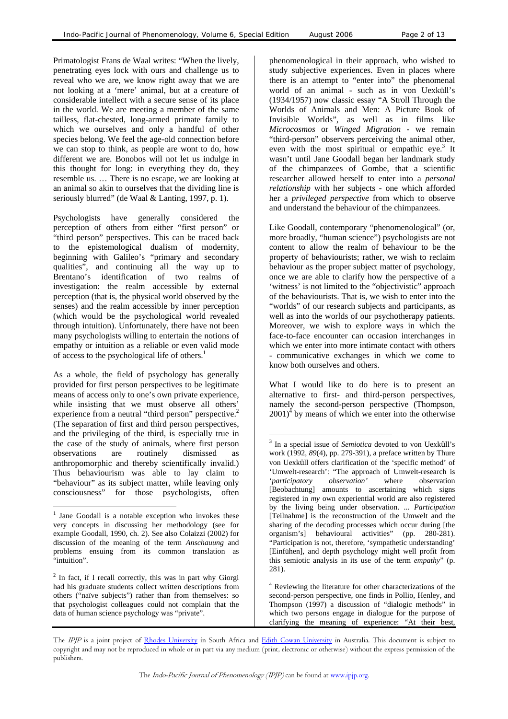Primatologist Frans de Waal writes: "When the lively, penetrating eyes lock with ours and challenge us to reveal who we are, we know right away that we are not looking at a 'mere' animal, but at a creature of considerable intellect with a secure sense of its place in the world. We are meeting a member of the same tailless, flat-chested, long-armed primate family to which we ourselves and only a handful of other species belong. We feel the age-old connection before we can stop to think, as people are wont to do, how different we are. Bonobos will not let us indulge in this thought for long: in everything they do, they resemble us. … There is no escape, we are looking at an animal so akin to ourselves that the dividing line is seriously blurred" (de Waal & Lanting, 1997, p. 1).

Psychologists have generally considered the perception of others from either "first person" or "third person" perspectives. This can be traced back to the epistemological dualism of modernity, beginning with Galileo's "primary and secondary qualities", and continuing all the way up to Brentano's identification of two realms of investigation: the realm accessible by external perception (that is, the physical world observed by the senses) and the realm accessible by inner perception (which would be the psychological world revealed through intuition). Unfortunately, there have not been many psychologists willing to entertain the notions of empathy or intuition as a reliable or even valid mode of access to the psychological life of others. [1](#page-1-0)

As a whole, the field of psychology has generally provided for first person perspectives to be legitimate means of access only to one's own private experience, while insisting that we must observe all others' experience from a neutral "third person" perspective.<sup>2</sup> (The separation of first and third person perspectives, and the privileging of the third, is especially true in the case of the study of animals, where first person observations are routinely dismissed as anthropomorphic and thereby scientifically invalid.) Thus behaviourism was able to lay claim to "behaviour" as its subject matter, while leaving only consciousness" for those psychologists, often

l

phenomenological in their approach, who wished to study subjective experiences. Even in places where there is an attempt to "enter into" the phenomenal world of an animal - such as in von Uexküll's (1934/1957) now classic essay "A Stroll Through the Worlds of Animals and Men: A Picture Book of Invisible Worlds", as well as in films like *Microcosmos* or *Winged Migration* - we remain "third-person" observers perceiving the animal other, evenwith the most spiritual or empathic eye.<sup>3</sup> It wasn't until Jane Goodall began her landmark study of the chimpanzees of Gombe, that a scientific researcher allowed herself to enter into a *personal relationship* with her subjects - one which afforded her a *privileged perspective* from which to observe and understand the behaviour of the chimpanzees.

Like Goodall, contemporary "phenomenological" (or, more broadly, "human science") psychologists are not content to allow the realm of behaviour to be the property of behaviourists; rather, we wish to reclaim behaviour as the proper subject matter of psychology, once we are able to clarify how the perspective of a 'witness' is not limited to the "objectivistic" approach of the behaviourists. That is, we wish to enter into the "worlds" of our research subjects and participants, as well as into the worlds of our psychotherapy patients. Moreover, we wish to explore ways in which the face-to-face encounter can occasion interchanges in which we enter into more intimate contact with others - communicative exchanges in which we come to know both ourselves and others.

What I would like to do here is to present an alternative to first- and third-person perspectives, namely the second-person perspective (Thompson,  $2001$ <sup> $\text{4}$ </sup> [b](#page-1-3)y means of which we enter into the otherwise

<span id="page-1-3"></span><sup>4</sup> Reviewing the literature for other characterizations of the second-person perspective, one finds in Pollio, Henley, and Thompson (1997) a discussion of "dialogic methods" in which two persons engage in dialogue for the purpose of clarifying the meaning of experience: "At their best,

l

<span id="page-1-0"></span><sup>&</sup>lt;sup>1</sup> Jane Goodall is a notable exception who invokes these very concepts in discussing her methodology (see for example Goodall, 1990, ch. 2). See also Colaizzi (2002) for discussion of the meaning of the term *Anschauung* and problems ensuing from its common translation as "intuition".

<span id="page-1-1"></span> $2$  In fact, if I recall correctly, this was in part why Giorgi had his graduate students collect written descriptions from others ("naïve subjects") rather than from themselves: so that psychologist colleagues could not complain that the data of human science psychology was "private".

<span id="page-1-2"></span><sup>3</sup> In a special issue of *Semiotica* devoted to von Uexküll's work (1992, *89*(4), pp. 279-391), a preface written by Thure von Uexküll offers clarification of the 'specific method' of 'Umwelt-research': "The approach of Umwelt-research is '*participatory observation'* where observation [Beobachtung] amounts to ascertaining which signs registered in *my* own experiential world are also registered by the living being under observation. ... *Participation* [Teilnahme] is the reconstruction of the Umwelt and the sharing of the decoding processes which occur during [the organism's] behavioural activities" (pp. 280-281). "Participation is not, therefore, 'sympathetic understanding' [Einfühen], and depth psychology might well profit from this semiotic analysis in its use of the term *empathy*" (p. 281).

The IPJP is a joint project of Rhodes University in South Africa and Edith Cowan University in Australia. This document is subject to copyright and may not be reproduced in whole or in part via any medium (print, electronic or otherwise) without the express permission of the publishers.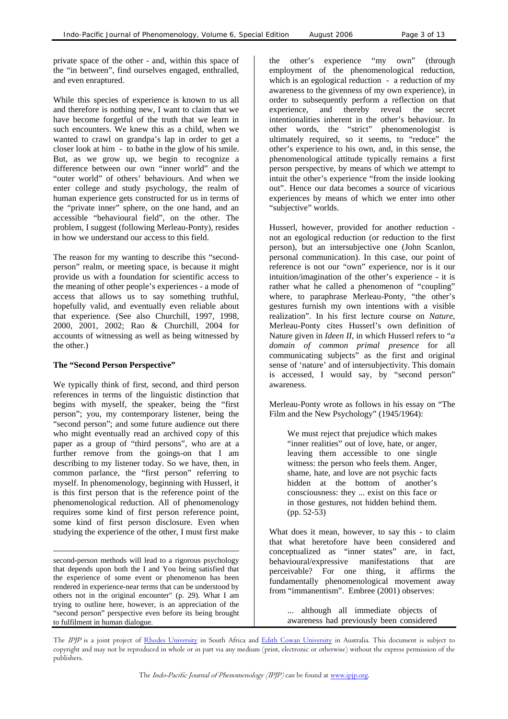private space of the other - and, within this space of the "in between", find ourselves engaged, enthralled, and even enraptured.

While this species of experience is known to us all and therefore is nothing new, I want to claim that we have become forgetful of the truth that we learn in such encounters. We knew this as a child, when we wanted to crawl on grandpa's lap in order to get a closer look at him - to bathe in the glow of his smile. But, as we grow up, we begin to recognize a difference between our own "inner world" and the "outer world" of others' behaviours. And when we enter college and study psychology, the realm of human experience gets constructed for us in terms of the "private inner" sphere, on the one hand, and an accessible "behavioural field", on the other. The problem, I suggest (following Merleau-Ponty), resides in how we understand our access to this field.

The reason for my wanting to describe this "secondperson" realm, or meeting space, is because it might provide us with a foundation for scientific access to the meaning of other people's experiences - a mode of access that allows us to say something truthful, hopefully valid, and eventually even reliable about that experience. (See also Churchill, 1997, 1998, 2000, 2001, 2002; Rao & Churchill, 2004 for accounts of witnessing as well as being witnessed by the other.)

#### **The "Second Person Perspective"**

We typically think of first, second, and third person references in terms of the linguistic distinction that begins with myself, the speaker, being the "first person"; you, my contemporary listener, being the "second person"; and some future audience out there who might eventually read an archived copy of this paper as a group of "third persons", who are at a further remove from the goings-on that I am describing to my listener today. So we have, then, in common parlance, the "first person" referring to myself. In phenomenology, beginning with Husserl, it is this first person that is the reference point of the phenomenological reduction. All of phenomenology requires some kind of first person reference point, some kind of first person disclosure. Even when studying the experience of the other, I must first make

 $\overline{a}$ second-person methods will lead to a rigorous psychology that depends upon both the I and You being satisfied that the experience of some event or phenomenon has been rendered in experience-near terms that can be understood by others not in the original encounter" (p. 29). What I am trying to outline here, however, is an appreciation of the "second person" perspective even before its being brought to fulfilment in human dialogue.

the other's experience "my own" (through employment of the phenomenological reduction, which is an egological reduction - a reduction of my awareness to the givenness of my own experience), in order to subsequently perform a reflection on that experience, and thereby reveal the secret intentionalities inherent in the other's behaviour. In other words, the "strict" phenomenologist is ultimately required, so it seems, to "reduce" the other's experience to his own, and, in this sense, the phenomenological attitude typically remains a first person perspective, by means of which we attempt to intuit the other's experience "from the inside looking out". Hence our data becomes a source of vicarious experiences by means of which we enter into other "subjective" worlds.

Husserl, however, provided for another reduction not an egological reduction (or reduction to the first person), but an intersubjective one (John Scanlon, personal communication). In this case, our point of reference is not our "own" experience, nor is it our intuition/imagination of the other's experience - it is rather what he called a phenomenon of "coupling" where, to paraphrase Merleau-Ponty, "the other's gestures furnish my own intentions with a visible realization". In his first lecture course on *Nature*, Merleau-Ponty cites Husserl's own definition of Nature given in *Ideen II*, in which Husserl refers to "*a domain of common primal presence* for all communicating subjects" as the first and original sense of 'nature' and of intersubjectivity. This domain is accessed, I would say, by "second person" awareness.

Merleau-Ponty wrote as follows in his essay on "The Film and the New Psychology" (1945/1964):

We must reject that prejudice which makes "inner realities" out of love, hate, or anger, leaving them accessible to one single witness: the person who feels them. Anger, shame, hate, and love are not psychic facts hidden at the bottom of another's consciousness: they ... exist on this face or in those gestures, not hidden behind them. (pp. 52-53)

What does it mean, however, to say this - to claim that what heretofore have been considered and conceptualized as "inner states" are, in fact, behavioural/expressive manifestations that are perceivable? For one thing, it affirms the fundamentally phenomenological movement away from "immanentism". Embree (2001) observes:

... although all immediate objects of awareness had previously been considered

The IPJP is a joint project of Rhodes University in South Africa and Edith Cowan University in Australia. This document is subject to copyright and may not be reproduced in whole or in part via any medium (print, electronic or otherwise) without the express permission of the publishers.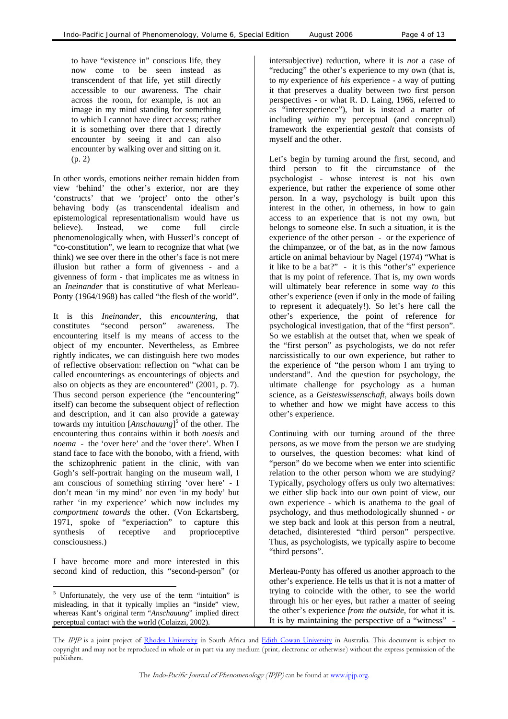to have "existence in" conscious life, they now come to be seen instead as transcendent of that life, yet still directly accessible to our awareness. The chair across the room, for example, is not an image in my mind standing for something to which I cannot have direct access; rather it is something over there that I directly encounter by seeing it and can also encounter by walking over and sitting on it.

In other words, emotions neither remain hidden from view 'behind' the other's exterior, nor are they 'constructs' that we 'project' onto the other's behaving body (as transcendental idealism and epistemological representationalism would have us believe). Instead, we come full circle phenomenologically when, with Husserl's concept of "co-constitution", we learn to recognize that what (we think) we see over there in the other's face is not mere illusion but rather a form of givenness - and a givenness of form - that implicates me as witness in an *Ineinander* that is constitutive of what Merleau-Ponty (1964/1968) has called "the flesh of the world".

It is this *Ineinander*, this *encountering*, that constitutes "second person" awareness. The encountering itself is my means of access to the object of my encounter. Nevertheless, as Embree rightly indicates, we can distinguish here two modes of reflective observation: reflection on "what can be called encounterings as encounterings of objects and also on objects as they are encountered" (2001, p. 7). Thus second person experience (the "encountering" itself) can become the subsequent object of reflection and description, and it can also provide a gateway towards my intuition [*Anschauung*] 5 of the other. The encountering thus contains within it both *noesis* and *noema* - the 'over here' and the 'over there'. When I stand face to face with the bonobo, with a friend, with the schizophrenic patient in the clinic, with van Gogh's self-portrait hanging on the museum wall, I am conscious of something stirring 'over here' - I don't mean 'in my mind' nor even 'in my body' but rather 'in my experience' which now includes my *comportment towards* the other. (Von Eckartsberg, 1971, spoke of "experiaction" to capture this synthesis of receptive and proprioceptive consciousness.)

I have become more and more interested in this second kind of reduction, this "second-person" (or Merleau-Ponty has offered us another approach to the

<span id="page-3-0"></span>l <sup>5</sup> Unfortunately, the very use of the term "intuition" is misleading, in that it typically implies an "inside" view, whereas Kant's original term "*Anschauung*" implied direct perceptual contact with the world (Colaizzi, 2002).

intersubjective) reduction, where it is *not* a case of "reducing" the other's experience to my own (that is, to *my* experience of *his* experience - a way of putting it that preserves a duality between two first person perspectives - or what R. D. Laing, 1966, referred to as "interexperience"), but is instead a matter of including *within* my perceptual (and conceptual) framework the experiential *gestalt* that consists of myself and the other.

(p. 2) Let's begin by turning around the first, second, and third person to fit the circumstance of the psychologist - whose interest is not his own experience, but rather the experience of some other person. In a way, psychology is built upon this interest in the other, in otherness, in how to gain access to an experience that is not my own, but belongs to someone else. In such a situation, it is the experience of the other person - or the experience of the chimpanzee, or of the bat, as in the now famous article on animal behaviour by Nagel (1974) "What is it like to be a bat?" - it is this "other's" experience that is my point of reference. That is, my own words will ultimately bear reference in some way *to* this other's experience (even if only in the mode of failing to represent it adequately!). So let's here call the other's experience, the point of reference for psychological investigation, that of the "first person". So we establish at the outset that, when we speak of the "first person" as psychologists, we do not refer narcissistically to our own experience, but rather to the experience of "the person whom I am trying to understand". And the question for psychology, the ultimate challenge for psychology as a human science, as a *Geisteswissenschaft*, always boils down to whether and how we might have access to this other's experience.

> Continuing with our turning around of the three persons, as we move from the person we are studying to ourselves, the question becomes: what kind of "person" do we become when we enter into scientific relation to the other person whom we are studying? Typically, psychology offers us only two alternatives: we either slip back into our own point of view, our own experience - which is anathema to the goal of psychology, and thus methodologically shunned - *or* we step back and look at this person from a neutral, detached, disinterested "third person" perspective. Thus, as psychologists, we typically aspire to become "third persons".

> other's experience. He tells us that it is not a matter of trying to coincide with the other, to see the world through his or her eyes, but rather a matter of seeing the other's experience *from the outside*, for what it is. It is by maintaining the perspective of a "witness" -

The IPJP is a joint project of Rhodes University in South Africa and Edith Cowan University in Australia. This document is subject to copyright and may not be reproduced in whole or in part via any medium (print, electronic or otherwise) without the express permission of the publishers.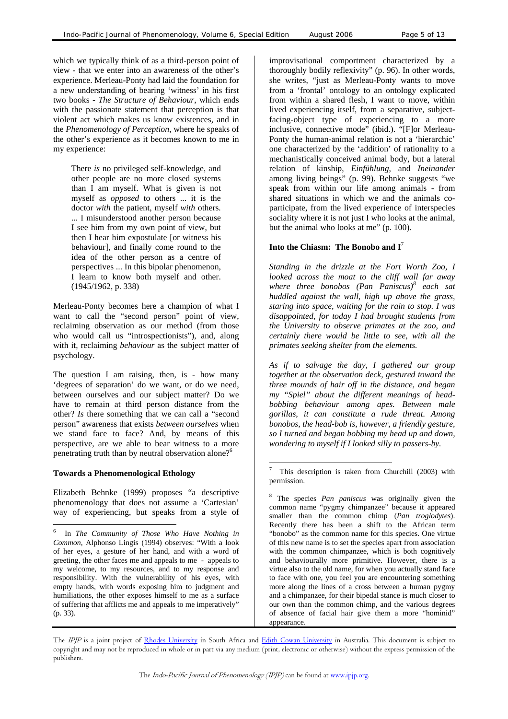which we typically think of as a third-person point of view - that we enter into an awareness of the other's experience. Merleau-Ponty had laid the foundation for a new understanding of bearing 'witness' in his first two books - *The Structure of Behaviour*, which ends with the passionate statement that perception is that violent act which makes us know existences, and in the *Phenomenology of Perception*, where he speaks of the other's experience as it becomes known to me in my experience:

There *is* no privileged self-knowledge, and other people are no more closed systems than I am myself. What is given is not myself as *opposed* to others ... it is the doctor *with* the patient, myself *with* others. ... I misunderstood another person because I see him from my own point of view, but then I hear him expostulate [or witness his behaviour], and finally come round to the idea of the other person as a centre of perspectives ... In this bipolar phenomenon, I learn to know both myself and other. (1945/1962, p. 338)

Merleau-Ponty becomes here a champion of what I want to call the "second person" point of view, reclaiming observation as our method (from those who would call us "introspectionists"), and, along with it, reclaiming *behaviour* as the subject matter of psychology.

The question I am raising, then, is - how many 'degrees of separation' do we want, or do we need, between ourselves and our subject matter? Do we have to remain at third person distance from the other? *Is* there something that we can call a "second person" awareness that exists *between ourselves* when we stand face to face? And, by means of this perspective, are we able to bear witness to a more penetrating truth than by neutral observation alone?<sup>[6](#page-4-0)</sup>

## **Towards a Phenomenological Ethology**

l

Elizabeth Behnke (1999) proposes "a descriptive phenomenology that does not assume a 'Cartesian' way of experiencing, but speaks from a style of improvisational comportment characterized by a thoroughly bodily reflexivity" (p. 96). In other words, she writes, "just as Merleau-Ponty wants to move from a 'frontal' ontology to an ontology explicated from within a shared flesh, I want to move, within lived experiencing itself, from a separative, subjectfacing-object type of experiencing to a more inclusive, connective mode" (ibid.). "[F]or Merleau-Ponty the human-animal relation is not a 'hierarchic' one characterized by the 'addition' of rationality to a mechanistically conceived animal body, but a lateral relation of kinship, *Einfühlung*, and *Ineinander* among living beings" (p. 99). Behnke suggests "we speak from within our life among animals - from shared situations in which we and the animals coparticipate, from the lived experience of interspecies sociality where it is not just I who looks at the animal, but the animal who looks at me" (p. 100).

## **Into the Chiasm: The Bonobo and I**[7](#page-4-1)

*Standing in the drizzle at the Fort Worth Zoo, I looked across the moat to the cliff wall far away where three bonobos (Pan Paniscus)8 each sat huddled against the wall, high up above the grass, staring into space, waiting for the rain to stop. I was disappointed, for today I had brought students from the University to observe primates at the zoo, and certainly there would be little to see, with all the primates seeking shelter from the elements.* 

*As if to salvage the day, I gathered our group together at the observation deck, gestured toward the three mounds of hair off in the distance, and began my "Spiel" about the different meanings of headbobbing behaviour among apes. Between male gorillas, it can constitute a rude threat. Among bonobos, the head-bob is, however, a friendly gesture, so I turned and began bobbing my head up and down, wondering to myself if I looked silly to passers-by.* 

<span id="page-4-0"></span><sup>6</sup> In *The Community of Those Who Have Nothing in Common*, Alphonso Lingis (1994) observes: "With a look of her eyes, a gesture of her hand, and with a word of greeting, the other faces me and appeals to me - appeals to my welcome, to my resources, and to my response and responsibility. With the vulnerability of his eyes, with empty hands, with words exposing him to judgment and humiliations, the other exposes himself to me as a surface of suffering that afflicts me and appeals to me imperatively" (p. 33).

<span id="page-4-1"></span><sup>-&</sup>lt;br>7 This description is taken from Churchill (2003) with permission.

<span id="page-4-2"></span><sup>8</sup> The species *Pan paniscus* was originally given the common name "pygmy chimpanzee" because it appeared smaller than the common chimp (*Pan troglodytes*). Recently there has been a shift to the African term "bonobo" as the common name for this species. One virtue of this new name is to set the species apart from association with the common chimpanzee, which is both cognitively and behaviourally more primitive. However, there is a virtue also to the old name, for when you actually stand face to face with one, you feel you are encountering something more along the lines of a cross between a human pygmy and a chimpanzee, for their bipedal stance is much closer to our own than the common chimp, and the various degrees of absence of facial hair give them a more "hominid" appearance.

The IPJP is a joint project of Rhodes University in South Africa and Edith Cowan University in Australia. This document is subject to copyright and may not be reproduced in whole or in part via any medium (print, electronic or otherwise) without the express permission of the publishers.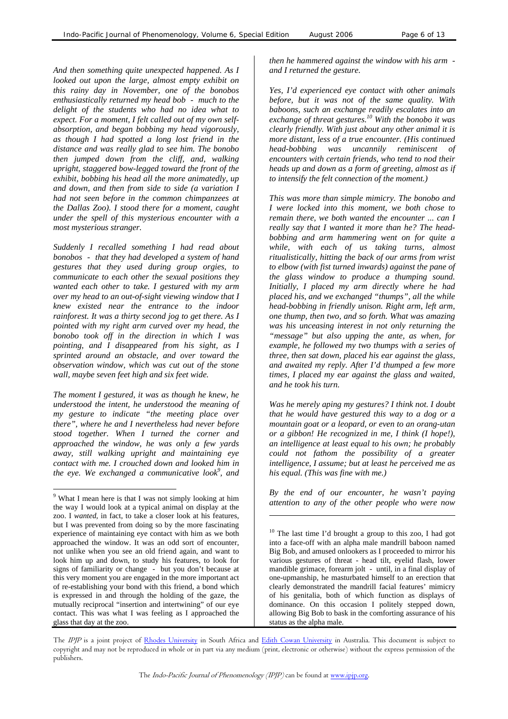*And then something quite unexpected happened. As I looked out upon the large, almost empty exhibit on this rainy day in November, one of the bonobos enthusiastically returned my head bob - much to the delight of the students who had no idea what to expect. For a moment, I felt called out of my own selfabsorption, and began bobbing my head vigorously, as though I had spotted a long lost friend in the distance and was really glad to see him. The bonobo then jumped down from the cliff, and, walking upright, staggered bow-legged toward the front of the exhibit, bobbing his head all the more animatedly, up and down, and then from side to side (a variation I had not seen before in the common chimpanzees at the Dallas Zoo). I stood there for a moment, caught under the spell of this mysterious encounter with a most mysterious stranger.* 

*Suddenly I recalled something I had read about bonobos - that they had developed a system of hand gestures that they used during group orgies, to communicate to each other the sexual positions they wanted each other to take. I gestured with my arm over my head to an out-of-sight viewing window that I knew existed near the entrance to the indoor rainforest. It was a thirty second jog to get there. As I pointed with my right arm curved over my head, the bonobo took off in the direction in which I was pointing, and I disappeared from his sight, as I sprinted around an obstacle, and over toward the observation window, which was cut out of the stone wall, maybe seven feet high and six feet wide.* 

*The moment I gestured, it was as though he knew, he understood the intent, he understood the meaning of my gesture to indicate "the meeting place over there", where he and I nevertheless had never before stood together. When I turned the corner and approached the window, he was only a few yards away, still walking upright and maintaining eye contact with me. I crouched down and looked him in the eye. We exchanged a communicative look[9](#page-5-0) , and*

l

*then he hammered against the window with his arm and I returned the gesture.* 

*Yes, I'd experienced eye contact with other animals before, but it was not of the same quality. With baboons, such an exchange readily escalates into an exchange of threat gestures.[10 W](#page-5-1)ith the bonobo it was clearly friendly. With just about any other animal it is more distant, less of a true encounter. (His continued head-bobbing was uncannily reminiscent of encounters with certain friends, who tend to nod their heads up and down as a form of greeting, almost as if to intensify the felt connection of the moment.)*

*This was more than simple mimicry. The bonobo and I were locked into this moment, we both chose to remain there, we both wanted the encounter ... can I really say that I wanted it more than he? The headbobbing and arm hammering went on for quite a while, with each of us taking turns, almost ritualistically, hitting the back of our arms from wrist to elbow (with fist turned inwards) against the pane of the glass window to produce a thumping sound. Initially, I placed my arm directly where he had placed his, and we exchanged "thumps", all the while head-bobbing in friendly unison. Right arm, left arm, one thump, then two, and so forth. What was amazing was his unceasing interest in not only returning the "message" but also upping the ante, as when, for example, he followed my two thumps with a series of three, then sat down, placed his ear against the glass, and awaited my reply. After I'd thumped a few more times, I placed my ear against the glass and waited, and he took his turn.* 

*Was he merely aping my gestures? I think not. I doubt that he would have gestured this way to a dog or a mountain goat or a leopard, or even to an orang-utan or a gibbon! He recognized in me, I think (I hope!), an intelligence at least equal to his own; he probably could not fathom the possibility of a greater intelligence, I assume; but at least he perceived me as his equal. (This was fine with me.)*

*By the end of our encounter, he wasn't paying* <sup>9</sup> What I mean here is that I was not simply looking at him *by the end of our encounter*, he wasn't paying the group of the other people who were now

> <span id="page-5-1"></span><sup>10</sup> The last time I'd brought a group to this zoo, I had got into a face-off with an alpha male mandrill baboon named Big Bob, and amused onlookers as I proceeded to mirror his various gestures of threat - head tilt, eyelid flash, lower mandible grimace, forearm jolt - until, in a final display of one-upmanship, he masturbated himself to an erection that clearly demonstrated the mandrill facial features' mimicry of his genitalia, both of which function as displays of dominance. On this occasion I politely stepped down, allowing Big Bob to bask in the comforting assurance of his status as the alpha male.

The IPJP is a joint project of Rhodes University in South Africa and Edith Cowan University in Australia. This document is subject to copyright and may not be reproduced in whole or in part via any medium (print, electronic or otherwise) without the express permission of the publishers.

l

<span id="page-5-0"></span>the way I would look at a typical animal on display at the zoo. I *wanted*, in fact, to take a closer look at his features, but I was prevented from doing so by the more fascinating experience of maintaining eye contact with him as we both approached the window. It was an odd sort of encounter, not unlike when you see an old friend again, and want to look him up and down, to study his features, to look for signs of familiarity or change - but you don't because at this very moment you are engaged in the more important act of re-establishing your bond with this friend, a bond which is expressed in and through the holding of the gaze, the mutually reciprocal "insertion and intertwining" of our eye contact. This was what I was feeling as I approached the glass that day at the zoo.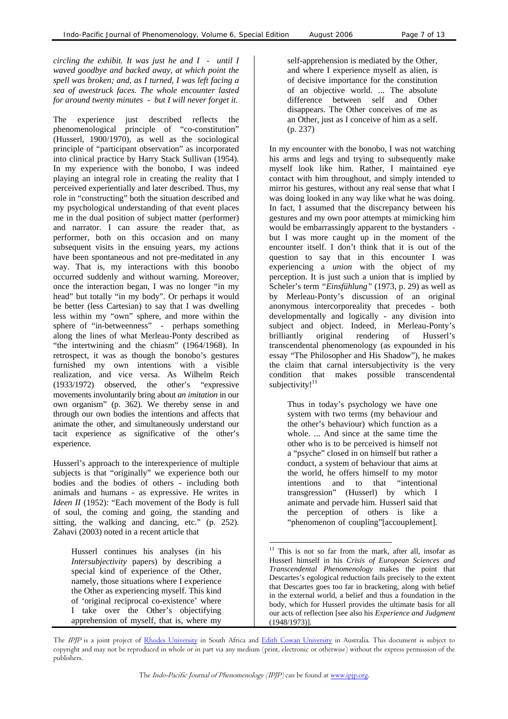*circling the exhibit. It was just he and I - until I waved goodbye and backed away, at which point the spell was broken; and, as I turned, I was left facing a sea of awestruck faces. The whole encounter lasted for around twenty minutes - but I will never forget it.* 

The experience just described reflects the phenomenological principle of "co-constitution" (Husserl, 1900/1970), as well as the sociological principle of "participant observation" as incorporated into clinical practice by Harry Stack Sullivan (1954). In my experience with the bonobo, I was indeed playing an integral role in creating the reality that I perceived experientially and later described. Thus, my role in "constructing" both the situation described and my psychological understanding of that event places me in the dual position of subject matter (performer) and narrator. I can assure the reader that, as performer, both on this occasion and on many subsequent visits in the ensuing years, my actions have been spontaneous and not pre-meditated in any way. That is, my interactions with this bonobo occurred suddenly and without warning. Moreover, once the interaction began, I was no longer "in my head" but totally "in my body". Or perhaps it would be better (less Cartesian) to say that I was dwelling less within my "own" sphere, and more within the sphere of "in-betweenness" - perhaps something along the lines of what Merleau-Ponty described as "the intertwining and the chiasm" (1964/1968). In retrospect, it was as though the bonobo's gestures furnished my own intentions with a visible realization, and vice versa. As Wilhelm Reich (1933/1972) observed, the other's "expressive movements involuntarily bring about *an imitation* in our own organism" (p. 362). We thereby sense in and through our own bodies the intentions and affects that animate the other, and simultaneously understand our tacit experience as significative of the other's experience.

Husserl's approach to the interexperience of multiple subjects is that "originally" we experience both our bodies and the bodies of others - including both animals and humans - as expressive. He writes in *Ideen II* (1952): "Each movement of the Body is full of soul, the coming and going, the standing and sitting, the walking and dancing, etc." (p. 252). Zahavi (2003) noted in a recent article that

Husserl continues his analyses (in his *Intersubjectivity* papers) by describing a special kind of experience of the Other, namely, those situations where I experience the Other as experiencing myself. This kind of 'original reciprocal co-existence' where I take over the Other's objectifying apprehension of myself, that is, where my

self-apprehension is mediated by the Other, and where I experience myself as alien, is of decisive importance for the constitution of an objective world. ... The absolute difference between self and Other disappears. The Other conceives of me as an Other, just as I conceive of him as a self. (p. 237)

In my encounter with the bonobo, I was not watching his arms and legs and trying to subsequently make myself look like him. Rather, I maintained eye contact with him throughout, and simply intended to mirror his gestures, without any real sense that what I was doing looked in any way like what he was doing. In fact, I assumed that the discrepancy between his gestures and my own poor attempts at mimicking him would be embarrassingly apparent to the bystanders but I was more caught up in the moment of the encounter itself. I don't think that it is out of the question to say that in this encounter I was experiencing a *union* with the object of my perception. It is just such a union that is implied by Scheler's term *"Einsfühlung"* (1973, p. 29) as well as by Merleau-Ponty's discussion of an original anonymous intercorporeality that precedes - both developmentally and logically - any division into subject and object. Indeed, in Merleau-Ponty's brilliantly original rendering of Husserl's transcendental phenomenology (as expounded in his essay "The Philosopher and His Shadow"), he makes the claim that carnal intersubjectivity is the very condition that makes possible transcendental subjectivity! $11$ 

Thus in today's psychology we have one system with two terms (my behaviour and the other's behaviour) which function as a whole. ... And since at the same time the other who is to be perceived is himself not a "psyche" closed in on himself but rather a conduct, a system of behaviour that aims at the world, he offers himself to my motor intentions and to that "intentional transgression" (Husserl) by which I animate and pervade him. Husserl said that the perception of others is like a "phenomenon of coupling"[accouplement].

l

<span id="page-6-0"></span><sup>&</sup>lt;sup>11</sup> This is not so far from the mark, after all, insofar as Husserl himself in his *Crisis of European Sciences and Transcendental Phenomenology* makes the point that Descartes's egological reduction fails precisely to the extent that Descartes goes too far in bracketing, along with belief in the external world, a belief and thus a foundation in the body, which for Husserl provides the ultimate basis for all our acts of reflection [see also his *Experience and Judgment* (1948/1973)].

The IPJP is a joint project of Rhodes University in South Africa and Edith Cowan University in Australia. This document is subject to copyright and may not be reproduced in whole or in part via any medium (print, electronic or otherwise) without the express permission of the publishers.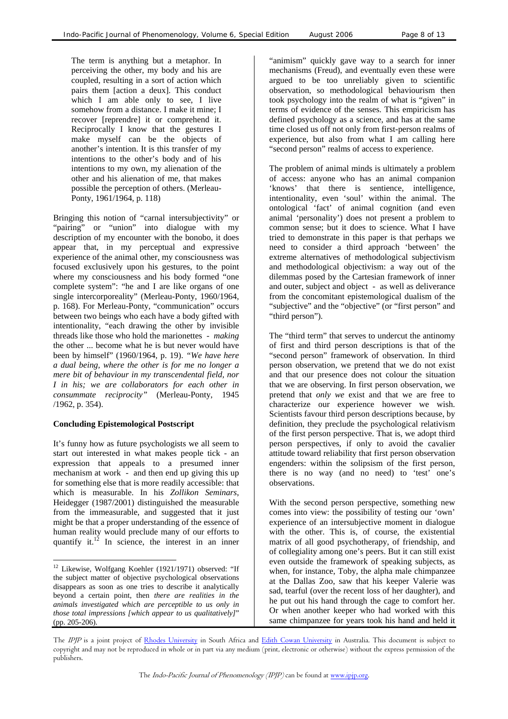The term is anything but a metaphor. In perceiving the other, my body and his are coupled, resulting in a sort of action which pairs them [action a deux]. This conduct which I am able only to see, I live somehow from a distance. I make it mine; I recover [reprendre] it or comprehend it. Reciprocally I know that the gestures I make myself can be the objects of another's intention. It is this transfer of my intentions to the other's body and of his intentions to my own, my alienation of the other and his alienation of me, that makes possible the perception of others. (Merleau-Ponty, 1961/1964, p. 118)

Bringing this notion of "carnal intersubjectivity" or "pairing" or "union" into dialogue with my description of my encounter with the bonobo, it does appear that, in my perceptual and expressive experience of the animal other, my consciousness was focused exclusively upon his gestures, to the point where my consciousness and his body formed "one complete system": "he and I are like organs of one single intercorporeality" (Merleau-Ponty, 1960/1964, p. 168). For Merleau-Ponty, "communication" occurs between two beings who each have a body gifted with intentionality, "each drawing the other by invisible threads like those who hold the marionettes - *making* the other ... become what he is but never would have been by himself" (1960/1964, p. 19). *"We have here a dual being, where the other is for me no longer a mere bit of behaviour in my transcendental field, nor I in his; we are collaborators for each other in consummate reciprocity"* (Merleau-Ponty, 1945 /1962, p. 354).

## **Concluding Epistemological Postscript**

l

It's funny how as future psychologists we all seem to start out interested in what makes people tick - an expression that appeals to a presumed inner mechanism at work - and then end up giving this up for something else that is more readily accessible: that which is measurable. In his *Zollikon Seminars*, Heidegger (1987/2001) distinguished the measurable from the immeasurable, and suggested that it just might be that a proper understanding of the essence of human reality would preclude many of our efforts to quantify it. $12 \text{ In science, the interest in an inner}$  $12 \text{ In science, the interest in an inner}$  "animism" quickly gave way to a search for inner mechanisms (Freud), and eventually even these were argued to be too unreliably given to scientific observation, so methodological behaviourism then took psychology into the realm of what is "given" in terms of evidence of the senses. This empiricism has defined psychology as a science, and has at the same time closed us off not only from first-person realms of experience, but also from what I am calling here "second person" realms of access to experience.

The problem of animal minds is ultimately a problem of access: anyone who has an animal companion 'knows' that there is sentience, intelligence, intentionality, even 'soul' within the animal. The ontological 'fact' of animal cognition (and even animal 'personality') does not present a problem to common sense; but it does to science. What I have tried to demonstrate in this paper is that perhaps we need to consider a third approach 'between' the extreme alternatives of methodological subjectivism and methodological objectivism: a way out of the dilemmas posed by the Cartesian framework of inner and outer, subject and object - as well as deliverance from the concomitant epistemological dualism of the "subjective" and the "objective" (or "first person" and "third person").

The "third term" that serves to undercut the antinomy of first and third person descriptions is that of the "second person" framework of observation. In third person observation, we pretend that we do not exist and that our presence does not colour the situation that we are observing. In first person observation, we pretend that *only we* exist and that we are free to characterize our experience however we wish. Scientists favour third person descriptions because, by definition, they preclude the psychological relativism of the first person perspective. That is, we adopt third person perspectives, if only to avoid the cavalier attitude toward reliability that first person observation engenders: within the solipsism of the first person, there is no way (and no need) to 'test' one's observations.

With the second person perspective, something new comes into view: the possibility of testing our 'own' experience of an intersubjective moment in dialogue with the other. This is, of course, the existential matrix of all good psychotherapy, of friendship, and of collegiality among one's peers. But it can still exist even outside the framework of speaking subjects, as when, for instance, Toby, the alpha male chimpanzee at the Dallas Zoo, saw that his keeper Valerie was sad, tearful (over the recent loss of her daughter), and he put out his hand through the cage to comfort her. Or when another keeper who had worked with this same chimpanzee for years took his hand and held it

<span id="page-7-0"></span><sup>&</sup>lt;sup>12</sup> Likewise, Wolfgang Koehler (1921/1971) observed: "If the subject matter of objective psychological observations disappears as soon as one tries to describe it analytically beyond a certain point, then *there are realities in the animals investigated which are perceptible to us only in those total impressions [which appear to us qualitatively]*" (pp. 205-206).

The IPJP is a joint project of Rhodes University in South Africa and Edith Cowan University in Australia. This document is subject to copyright and may not be reproduced in whole or in part via any medium (print, electronic or otherwise) without the express permission of the publishers.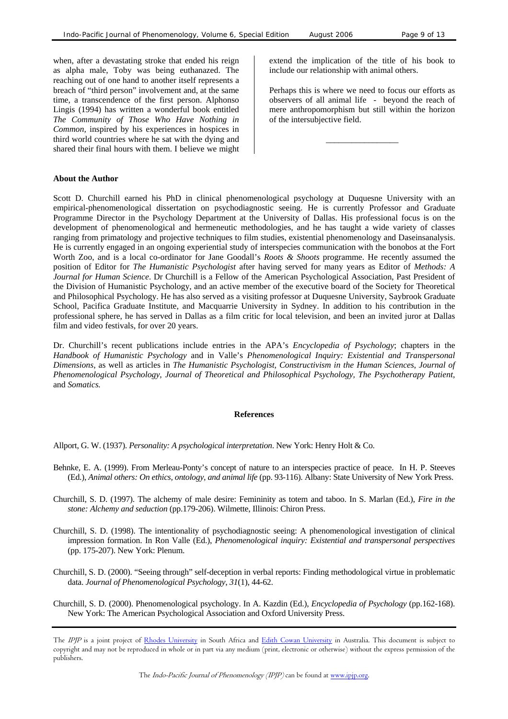when, after a devastating stroke that ended his reign as alpha male, Toby was being euthanazed. The reaching out of one hand to another itself represents a breach of "third person" involvement and, at the same time, a transcendence of the first person. Alphonso Lingis (1994) has written a wonderful book entitled *The Community of Those Who Have Nothing in Common,* inspired by his experiences in hospices in third world countries where he sat with the dying and shared their final hours with them. I believe we might

#### **About the Author**

extend the implication of the title of his book to include our relationship with animal others.

Perhaps this is where we need to focus our efforts as observers of all animal life - beyond the reach of mere anthropomorphism but still within the horizon of the intersubjective field.

\_\_\_\_\_\_\_\_\_\_\_\_\_\_\_\_\_

Scott D. Churchill earned his PhD in clinical phenomenological psychology at Duquesne University with an empirical-phenomenological dissertation on psychodiagnostic seeing. He is currently Professor and Graduate Programme Director in the Psychology Department at the University of Dallas. His professional focus is on the development of phenomenological and hermeneutic methodologies, and he has taught a wide variety of classes ranging from primatology and projective techniques to film studies, existential phenomenology and Daseinsanalysis. He is currently engaged in an ongoing experiential study of interspecies communication with the bonobos at the Fort Worth Zoo, and is a local co-ordinator for Jane Goodall's *Roots & Shoots* programme. He recently assumed the position of Editor for *The Humanistic Psychologist* after having served for many years as Editor of *Methods: A Journal for Human Science*. Dr Churchill is a Fellow of the American Psychological Association, Past President of the Division of Humanistic Psychology, and an active member of the executive board of the Society for Theoretical and Philosophical Psychology. He has also served as a visiting professor at Duquesne University, Saybrook Graduate School, Pacifica Graduate Institute, and Macquarrie University in Sydney. In addition to his contribution in the professional sphere, he has served in Dallas as a film critic for local television, and been an invited juror at Dallas film and video festivals, for over 20 years.

Dr. Churchill's recent publications include entries in the APA's *Encyclopedia of Psychology*; chapters in the *Handbook of Humanistic Psychology* and in Valle's *Phenomenological Inquiry: Existential and Transpersonal Dimensions*, as well as articles in *The Humanistic Psychologist, Constructivism in the Human Sciences*, *Journal of Phenomenological Psychology, Journal of Theoretical and Philosophical Psychology, The Psychotherapy Patient,*  and *Somatics.*

#### **References**

Allport, G. W. (1937). *Personality: A psychological interpretation*. New York: Henry Holt & Co.

- Behnke, E. A. (1999). From Merleau-Ponty's concept of nature to an interspecies practice of peace. In H. P. Steeves (Ed.), *Animal others: On ethics, ontology, and animal life* (pp. 93-116). Albany: State University of New York Press.
- Churchill, S. D. (1997). The alchemy of male desire: Femininity as totem and taboo. In S. Marlan (Ed.), *Fire in the stone: Alchemy and seduction* (pp.179-206). Wilmette, Illinois: Chiron Press.
- Churchill, S. D. (1998). The intentionality of psychodiagnostic seeing: A phenomenological investigation of clinical impression formation. In Ron Valle (Ed.), *Phenomenological inquiry: Existential and transpersonal perspectives* (pp. 175-207). New York: Plenum.
- Churchill, S. D. (2000). "Seeing through" self-deception in verbal reports: Finding methodological virtue in problematic data. *Journal of Phenomenological Psychology*, *31*(1), 44-62.
- Churchill, S. D. (2000). Phenomenological psychology. In A. Kazdin (Ed.), *Encyclopedia of Psychology* (pp.162-168). New York: The American Psychological Association and Oxford University Press.

The IPJP is a joint project of Rhodes University in South Africa and Edith Cowan University in Australia. This document is subject to copyright and may not be reproduced in whole or in part via any medium (print, electronic or otherwise) without the express permission of the publishers.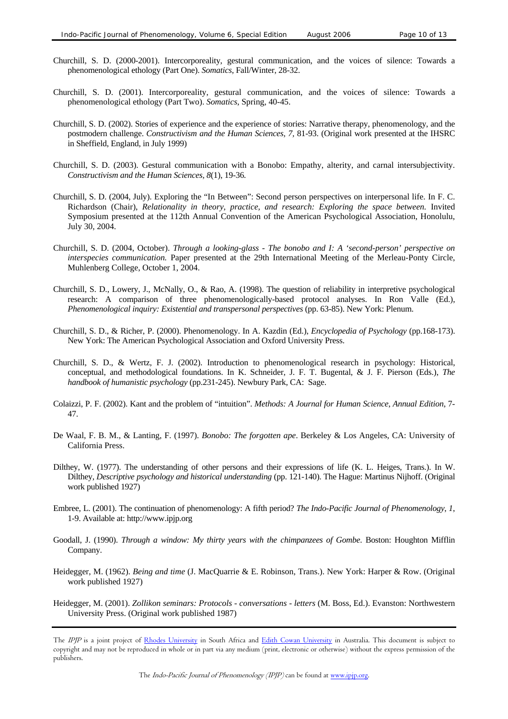- Churchill, S. D. (2000-2001). Intercorporeality, gestural communication, and the voices of silence: Towards a phenomenological ethology (Part One). *Somatics*, Fall/Winter, 28-32.
- Churchill, S. D. (2001). Intercorporeality, gestural communication, and the voices of silence: Towards a phenomenological ethology (Part Two). *Somatics*, Spring, 40-45.
- Churchill, S. D. (2002). Stories of experience and the experience of stories: Narrative therapy, phenomenology, and the postmodern challenge. *Constructivism and the Human Sciences, 7,* 81-93. (Original work presented at the IHSRC in Sheffield, England, in July 1999)
- Churchill, S. D. (2003). Gestural communication with a Bonobo: Empathy, alterity, and carnal intersubjectivity. *Constructivism and the Human Sciences, 8*(1), 19-36*.*
- Churchill, S. D. (2004, July). Exploring the "In Between": Second person perspectives on interpersonal life. In F. C. Richardson (Chair), *Relationality in theory, practice, and research: Exploring the space between.* Invited Symposium presented at the 112th Annual Convention of the American Psychological Association, Honolulu, July 30, 2004.
- Churchill, S. D. (2004, October). *Through a looking-glass The bonobo and I: A 'second-person' perspective on interspecies communication.* Paper presented at the 29th International Meeting of the Merleau-Ponty Circle, Muhlenberg College, October 1, 2004.
- Churchill, S. D., Lowery, J., McNally, O., & Rao, A. (1998). The question of reliability in interpretive psychological research: A comparison of three phenomenologically-based protocol analyses. In Ron Valle (Ed.), *Phenomenological inquiry: Existential and transpersonal perspectives* (pp. 63-85). New York: Plenum.
- Churchill, S. D., & Richer, P. (2000). Phenomenology. In A. Kazdin (Ed.), *Encyclopedia of Psychology* (pp.168-173). New York: The American Psychological Association and Oxford University Press.
- Churchill, S. D., & Wertz, F. J. (2002). Introduction to phenomenological research in psychology: Historical, conceptual, and methodological foundations. In K. Schneider, J. F. T. Bugental, & J. F. Pierson (Eds.), *The handbook of humanistic psychology* (pp.231-245). Newbury Park, CA: Sage.
- Colaizzi, P. F. (2002). Kant and the problem of "intuition". *Methods: A Journal for Human Science*, *Annual Edition*, 7- 47.
- De Waal, F. B. M., & Lanting, F. (1997). *Bonobo: The forgotten ape*. Berkeley & Los Angeles, CA: University of California Press.
- Dilthey, W. (1977). The understanding of other persons and their expressions of life (K. L. Heiges, Trans.). In W. Dilthey, *Descriptive psychology and historical understanding* (pp. 121-140). The Hague: Martinus Nijhoff. (Original work published 1927)
- Embree, L. (2001). The continuation of phenomenology: A fifth period? *The Indo-Pacific Journal of Phenomenology*, *1*, 1-9. Available at: http:/[/www.ipjp.org](http://www.ipjp.org/)
- Goodall, J. (1990). *Through a window: My thirty years with the chimpanzees of Gombe*. Boston: Houghton Mifflin Company.
- Heidegger, M. (1962). *Being and time* (J. MacQuarrie & E. Robinson, Trans.). New York: Harper & Row. (Original work published 1927)
- Heidegger, M. (2001). *Zollikon seminars: Protocols conversations letters* (M. Boss, Ed.). Evanston: Northwestern University Press. (Original work published 1987)

The IPJP is a joint project of Rhodes University in South Africa and Edith Cowan University in Australia. This document is subject to copyright and may not be reproduced in whole or in part via any medium (print, electronic or otherwise) without the express permission of the publishers.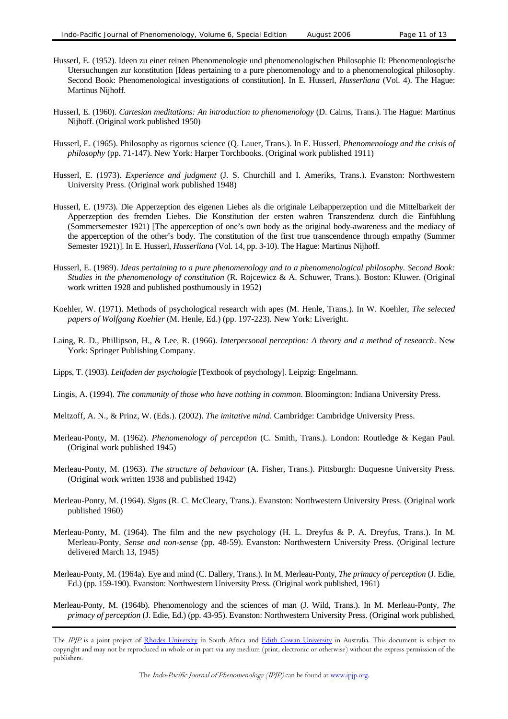- Husserl, E. (1952). Ideen zu einer reinen Phenomenologie und phenomenologischen Philosophie II: Phenomenologische Utersuchungen zur konstitution [Ideas pertaining to a pure phenomenology and to a phenomenological philosophy. Second Book: Phenomenological investigations of constitution]. In E. Husserl, *Husserliana* (Vol. 4). The Hague: Martinus Nijhoff.
- Husserl, E. (1960). *Cartesian meditations: An introduction to phenomenology* (D. Cairns, Trans.). The Hague: Martinus Nijhoff. (Original work published 1950)
- Husserl, E. (1965). Philosophy as rigorous science (Q. Lauer, Trans.). In E. Husserl, *Phenomenology and the crisis of philosophy* (pp. 71-147). New York: Harper Torchbooks. (Original work published 1911)
- Husserl, E. (1973). *Experience and judgment* (J. S. Churchill and I. Ameriks, Trans.). Evanston: Northwestern University Press. (Original work published 1948)
- Husserl, E. (1973). Die Apperzeption des eigenen Liebes als die originale Leibapperzeption und die Mittelbarkeit der Apperzeption des fremden Liebes. Die Konstitution der ersten wahren Transzendenz durch die Einfühlung (Sommersemester 1921) [The apperception of one's own body as the original body-awareness and the mediacy of the apperception of the other's body. The constitution of the first true transcendence through empathy (Summer Semester 1921)]. In E. Husserl, *Husserliana* (Vol. 14, pp. 3-10). The Hague: Martinus Nijhoff.
- Husserl, E. (1989). *Ideas pertaining to a pure phenomenology and to a phenomenological philosophy. Second Book: Studies in the phenomenology of constitution* (R. Rojcewicz & A. Schuwer, Trans.). Boston: Kluwer. (Original work written 1928 and published posthumously in 1952)
- Koehler, W. (1971). Methods of psychological research with apes (M. Henle, Trans.). In W. Koehler, *The selected papers of Wolfgang Koehler* (M. Henle, Ed.) (pp. 197-223). New York: Liveright.
- Laing, R. D., Phillipson, H., & Lee, R. (1966). *Interpersonal perception: A theory and a method of research*. New York: Springer Publishing Company.
- Lipps, T. (1903). *Leitfaden der psychologie* [Textbook of psychology]. Leipzig: Engelmann.
- Lingis, A. (1994). *The community of those who have nothing in common*. Bloomington: Indiana University Press.
- Meltzoff, A. N., & Prinz, W. (Eds.). (2002). *The imitative mind*. Cambridge: Cambridge University Press.
- Merleau-Ponty, M. (1962). *Phenomenology of perception* (C. Smith, Trans.). London: Routledge & Kegan Paul. (Original work published 1945)
- Merleau-Ponty, M. (1963). *The structure of behaviour* (A. Fisher, Trans.). Pittsburgh: Duquesne University Press. (Original work written 1938 and published 1942)
- Merleau-Ponty, M. (1964). *Signs* (R. C. McCleary, Trans.). Evanston: Northwestern University Press. (Original work published 1960)
- Merleau-Ponty, M. (1964). The film and the new psychology (H. L. Dreyfus & P. A. Dreyfus, Trans.). In M. Merleau-Ponty, *Sense and non-sense* (pp. 48-59). Evanston: Northwestern University Press. (Original lecture delivered March 13, 1945)
- Merleau-Ponty, M. (1964a). Eye and mind (C. Dallery, Trans.). In M. Merleau-Ponty, *The primacy of perception* (J. Edie, Ed.) (pp. 159-190). Evanston: Northwestern University Press. (Original work published, 1961)
- Merleau-Ponty, M. (1964b). Phenomenology and the sciences of man (J. Wild, Trans.). In M. Merleau-Ponty, *The primacy of perception* (J. Edie, Ed.) (pp. 43-95). Evanston: Northwestern University Press. (Original work published,

The IPJP is a joint project of Rhodes University in South Africa and Edith Cowan University in Australia. This document is subject to copyright and may not be reproduced in whole or in part via any medium (print, electronic or otherwise) without the express permission of the publishers.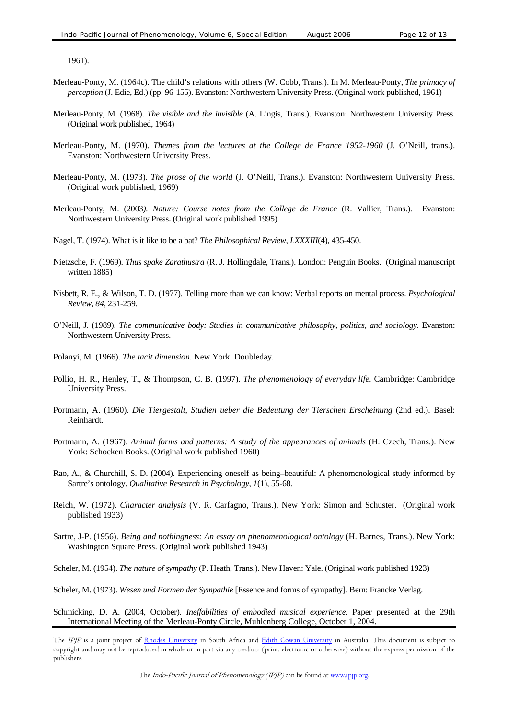1961).

- Merleau-Ponty, M. (1964c). The child's relations with others (W. Cobb, Trans.). In M. Merleau-Ponty, *The primacy of perception* (J. Edie, Ed.) (pp. 96-155). Evanston: Northwestern University Press. (Original work published, 1961)
- Merleau-Ponty, M. (1968). *The visible and the invisible* (A. Lingis, Trans.). Evanston: Northwestern University Press. (Original work published, 1964)
- Merleau-Ponty, M. (1970). *Themes from the lectures at the College de France 1952-1960* (J. O'Neill, trans.). Evanston: Northwestern University Press.
- Merleau-Ponty, M. (1973). *The prose of the world* (J. O'Neill, Trans.). Evanston: Northwestern University Press. (Original work published, 1969)
- Merleau-Ponty, M. (2003*). Nature: Course notes from the College de France* (R. Vallier, Trans.). Evanston: Northwestern University Press. (Original work published 1995)
- Nagel, T. (1974). What is it like to be a bat? *The Philosophical Review, LXXXIII*(4), 435-450.
- Nietzsche, F. (1969). *Thus spake Zarathustra* (R. J. Hollingdale, Trans.). London: Penguin Books. (Original manuscript written 1885)
- Nisbett, R. E., & Wilson, T. D. (1977). Telling more than we can know: Verbal reports on mental process. *Psychological Review*, *84*, 231-259.
- O'Neill, J. (1989). *The communicative body: Studies in communicative philosophy, politics, and sociology*. Evanston: Northwestern University Press.
- Polanyi, M. (1966). *The tacit dimension*. New York: Doubleday.
- Pollio, H. R., Henley, T., & Thompson, C. B. (1997). *The phenomenology of everyday life.* Cambridge: Cambridge University Press.
- Portmann, A. (1960). *Die Tiergestalt, Studien ueber die Bedeutung der Tierschen Erscheinung* (2nd ed.). Basel: Reinhardt.
- Portmann, A. (1967). *Animal forms and patterns: A study of the appearances of animals* (H. Czech, Trans.). New York: Schocken Books. (Original work published 1960)
- Rao, A., & Churchill, S. D. (2004). Experiencing oneself as being–beautiful: A phenomenological study informed by Sartre's ontology. *Qualitative Research in Psychology*, *1*(1), 55-68*.*
- Reich, W. (1972). *Character analysis* (V. R. Carfagno, Trans.). New York: Simon and Schuster. (Original work published 1933)
- Sartre, J-P. (1956). *Being and nothingness: An essay on phenomenological ontology* (H. Barnes, Trans.). New York: Washington Square Press. (Original work published 1943)
- Scheler, M. (1954). *The nature of sympathy* (P. Heath, Trans.). New Haven: Yale. (Original work published 1923)
- Scheler, M. (1973). *Wesen und Formen der Sympathie* [Essence and forms of sympathy]. Bern: Francke Verlag.
- Schmicking, D. A. (2004, October). *Ineffabilities of embodied musical experience.* Paper presented at the 29th International Meeting of the Merleau-Ponty Circle, Muhlenberg College, October 1, 2004.

The IPJP is a joint project of Rhodes University in South Africa and Edith Cowan University in Australia. This document is subject to copyright and may not be reproduced in whole or in part via any medium (print, electronic or otherwise) without the express permission of the publishers.